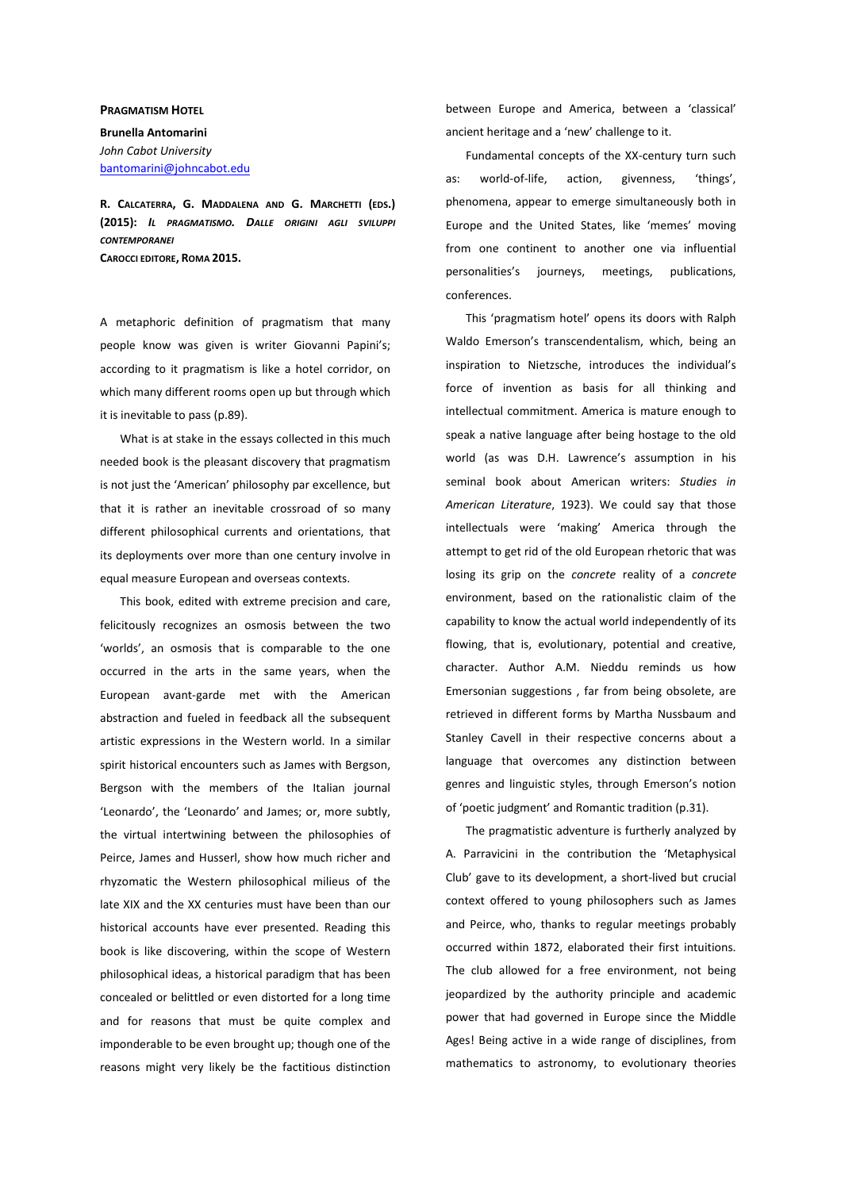## **PRAGMATISM HOTEL**

**Brunella Antomarini**  *John Cabot University*  bantomarini@johncabot.edu

**R. CALCATERRA, G. MADDALENA AND G. MARCHETTI (EDS.) (2015):** *IL PRAGMATISMO. DALLE ORIGINI AGLI SVILUPPI CONTEMPORANEI* **CAROCCI EDITORE, ROMA 2015.** 

A metaphoric definition of pragmatism that many people know was given is writer Giovanni Papini's; according to it pragmatism is like a hotel corridor, on which many different rooms open up but through which it is inevitable to pass (p.89).

What is at stake in the essays collected in this much needed book is the pleasant discovery that pragmatism is not just the 'American' philosophy par excellence, but that it is rather an inevitable crossroad of so many different philosophical currents and orientations, that its deployments over more than one century involve in equal measure European and overseas contexts.

This book, edited with extreme precision and care, felicitously recognizes an osmosis between the two 'worlds', an osmosis that is comparable to the one occurred in the arts in the same years, when the European avant-garde met with the American abstraction and fueled in feedback all the subsequent artistic expressions in the Western world. In a similar spirit historical encounters such as James with Bergson, Bergson with the members of the Italian journal 'Leonardo', the 'Leonardo' and James; or, more subtly, the virtual intertwining between the philosophies of Peirce, James and Husserl, show how much richer and rhyzomatic the Western philosophical milieus of the late XIX and the XX centuries must have been than our historical accounts have ever presented. Reading this book is like discovering, within the scope of Western philosophical ideas, a historical paradigm that has been concealed or belittled or even distorted for a long time and for reasons that must be quite complex and imponderable to be even brought up; though one of the reasons might very likely be the factitious distinction

between Europe and America, between a 'classical' ancient heritage and a 'new' challenge to it.

Fundamental concepts of the XX-century turn such as: world-of-life, action, givenness, 'things', phenomena, appear to emerge simultaneously both in Europe and the United States, like 'memes' moving from one continent to another one via influential personalities's journeys, meetings, publications, conferences.

This 'pragmatism hotel' opens its doors with Ralph Waldo Emerson's transcendentalism, which, being an inspiration to Nietzsche, introduces the individual's force of invention as basis for all thinking and intellectual commitment. America is mature enough to speak a native language after being hostage to the old world (as was D.H. Lawrence's assumption in his seminal book about American writers: *Studies in American Literature*, 1923). We could say that those intellectuals were 'making' America through the attempt to get rid of the old European rhetoric that was losing its grip on the *concrete* reality of a *concrete* environment, based on the rationalistic claim of the capability to know the actual world independently of its flowing, that is, evolutionary, potential and creative, character. Author A.M. Nieddu reminds us how Emersonian suggestions , far from being obsolete, are retrieved in different forms by Martha Nussbaum and Stanley Cavell in their respective concerns about a language that overcomes any distinction between genres and linguistic styles, through Emerson's notion of 'poetic judgment' and Romantic tradition (p.31).

The pragmatistic adventure is furtherly analyzed by A. Parravicini in the contribution the 'Metaphysical Club' gave to its development, a short-lived but crucial context offered to young philosophers such as James and Peirce, who, thanks to regular meetings probably occurred within 1872, elaborated their first intuitions. The club allowed for a free environment, not being jeopardized by the authority principle and academic power that had governed in Europe since the Middle Ages! Being active in a wide range of disciplines, from mathematics to astronomy, to evolutionary theories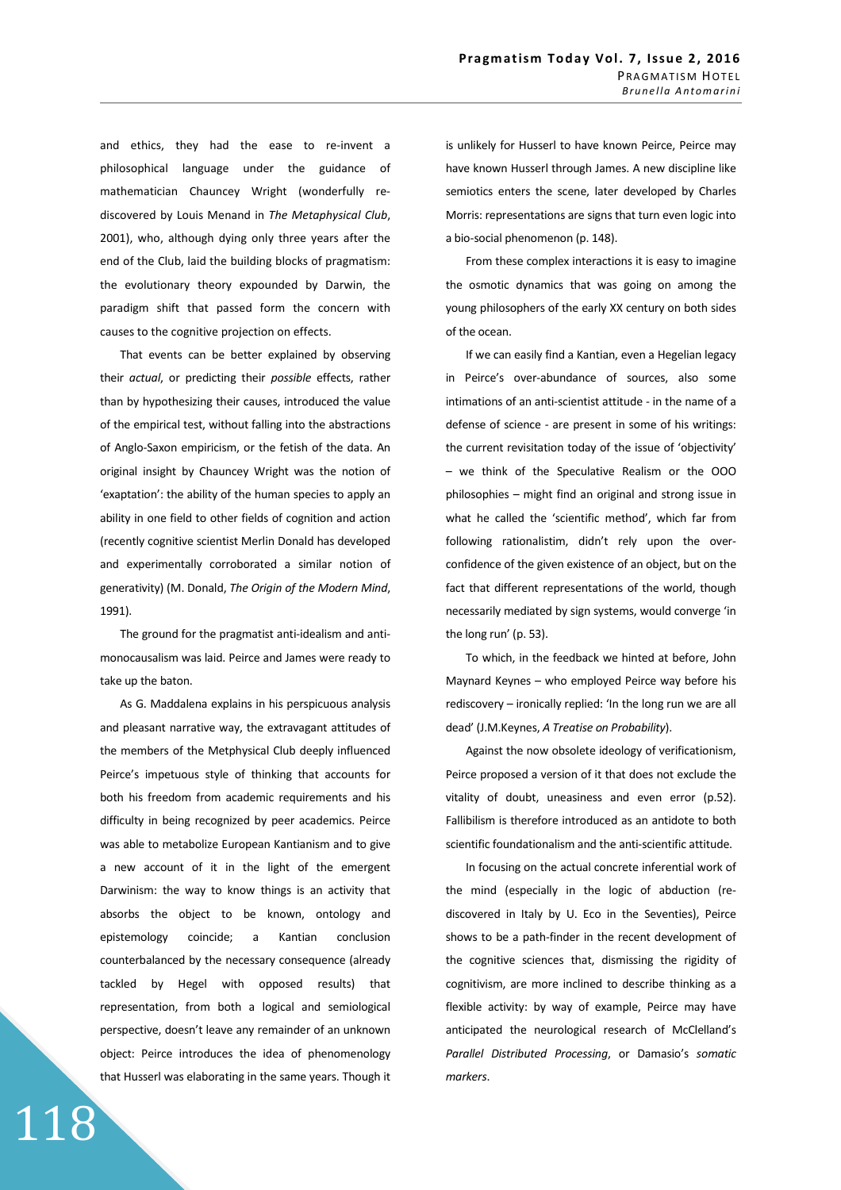and ethics, they had the ease to re-invent a philosophical language under the guidance of mathematician Chauncey Wright (wonderfully rediscovered by Louis Menand in *The Metaphysical Club*, 2001), who, although dying only three years after the end of the Club, laid the building blocks of pragmatism: the evolutionary theory expounded by Darwin, the paradigm shift that passed form the concern with causes to the cognitive projection on effects.

That events can be better explained by observing their *actual*, or predicting their *possible* effects, rather than by hypothesizing their causes, introduced the value of the empirical test, without falling into the abstractions of Anglo-Saxon empiricism, or the fetish of the data. An original insight by Chauncey Wright was the notion of 'exaptation': the ability of the human species to apply an ability in one field to other fields of cognition and action (recently cognitive scientist Merlin Donald has developed and experimentally corroborated a similar notion of generativity) (M. Donald, *The Origin of the Modern Mind*, 1991).

The ground for the pragmatist anti-idealism and antimonocausalism was laid. Peirce and James were ready to take up the baton.

As G. Maddalena explains in his perspicuous analysis and pleasant narrative way, the extravagant attitudes of the members of the Metphysical Club deeply influenced Peirce's impetuous style of thinking that accounts for both his freedom from academic requirements and his difficulty in being recognized by peer academics. Peirce was able to metabolize European Kantianism and to give a new account of it in the light of the emergent Darwinism: the way to know things is an activity that absorbs the object to be known, ontology and epistemology coincide; a Kantian conclusion counterbalanced by the necessary consequence (already tackled by Hegel with opposed results) that representation, from both a logical and semiological perspective, doesn't leave any remainder of an unknown object: Peirce introduces the idea of phenomenology that Husserl was elaborating in the same years. Though it

118

is unlikely for Husserl to have known Peirce, Peirce may have known Husserl through James. A new discipline like semiotics enters the scene, later developed by Charles Morris: representations are signs that turn even logic into a bio-social phenomenon (p. 148).

From these complex interactions it is easy to imagine the osmotic dynamics that was going on among the young philosophers of the early XX century on both sides of the ocean.

If we can easily find a Kantian, even a Hegelian legacy in Peirce's over-abundance of sources, also some intimations of an anti-scientist attitude - in the name of a defense of science - are present in some of his writings: the current revisitation today of the issue of 'objectivity' – we think of the Speculative Realism or the OOO philosophies – might find an original and strong issue in what he called the 'scientific method', which far from following rationalistim, didn't rely upon the overconfidence of the given existence of an object, but on the fact that different representations of the world, though necessarily mediated by sign systems, would converge 'in the long run' (p. 53).

To which, in the feedback we hinted at before, John Maynard Keynes – who employed Peirce way before his rediscovery – ironically replied: 'In the long run we are all dead' (J.M.Keynes, *A Treatise on Probability*).

Against the now obsolete ideology of verificationism, Peirce proposed a version of it that does not exclude the vitality of doubt, uneasiness and even error (p.52). Fallibilism is therefore introduced as an antidote to both scientific foundationalism and the anti-scientific attitude.

In focusing on the actual concrete inferential work of the mind (especially in the logic of abduction (rediscovered in Italy by U. Eco in the Seventies), Peirce shows to be a path-finder in the recent development of the cognitive sciences that, dismissing the rigidity of cognitivism, are more inclined to describe thinking as a flexible activity: by way of example, Peirce may have anticipated the neurological research of McClelland's *Parallel Distributed Processing*, or Damasio's *somatic markers*.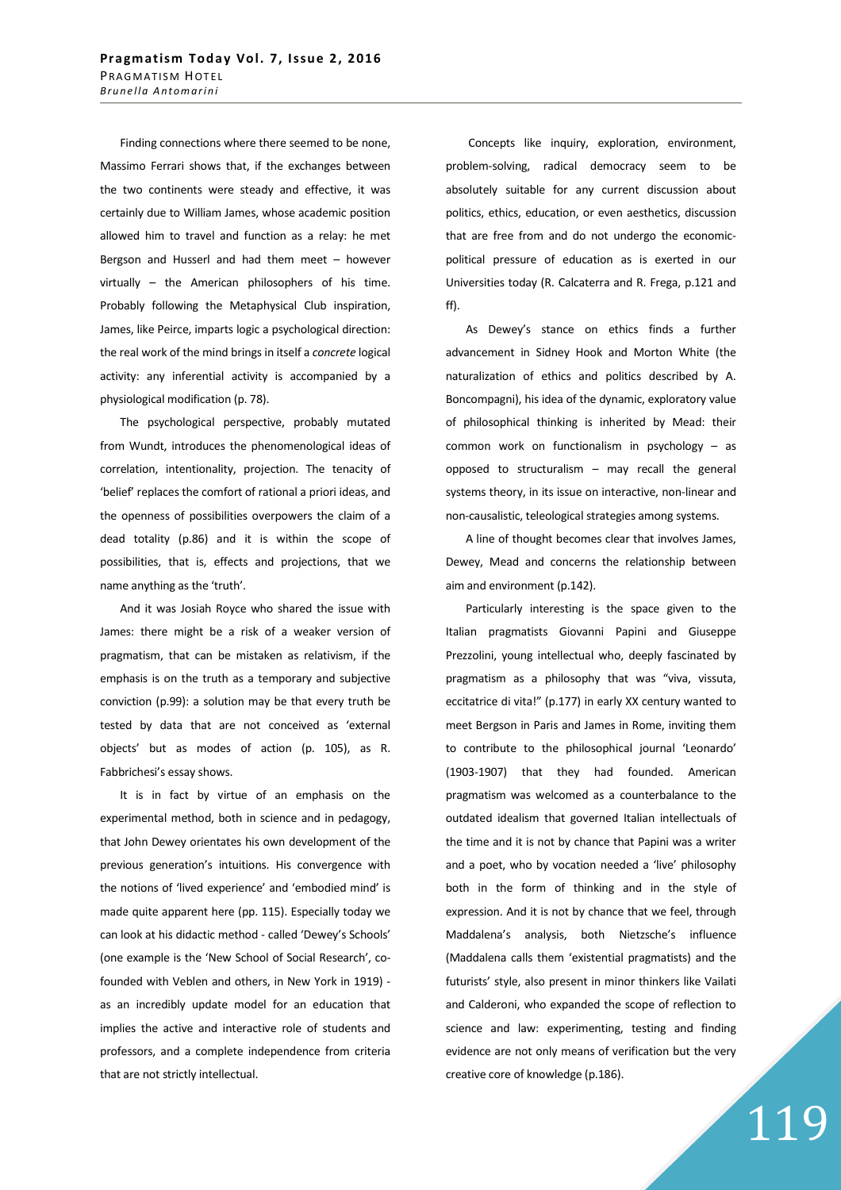Finding connections where there seemed to be none, Massimo Ferrari shows that, if the exchanges between the two continents were steady and effective, it was certainly due to William James, whose academic position allowed him to travel and function as a relay: he met Bergson and Husserl and had them meet – however virtually – the American philosophers of his time. Probably following the Metaphysical Club inspiration, James, like Peirce, imparts logic a psychological direction: the real work of the mind brings in itself a *concrete* logical activity: any inferential activity is accompanied by a physiological modification (p. 78).

The psychological perspective, probably mutated from Wundt, introduces the phenomenological ideas of correlation, intentionality, projection. The tenacity of 'belief' replaces the comfort of rational a priori ideas, and the openness of possibilities overpowers the claim of a dead totality (p.86) and it is within the scope of possibilities, that is, effects and projections, that we name anything as the 'truth'.

And it was Josiah Royce who shared the issue with James: there might be a risk of a weaker version of pragmatism, that can be mistaken as relativism, if the emphasis is on the truth as a temporary and subjective conviction (p.99): a solution may be that every truth be tested by data that are not conceived as 'external objects' but as modes of action (p. 105), as R. Fabbrichesi's essay shows.

It is in fact by virtue of an emphasis on the experimental method, both in science and in pedagogy, that John Dewey orientates his own development of the previous generation's intuitions. His convergence with the notions of 'lived experience' and 'embodied mind' is made quite apparent here (pp. 115). Especially today we can look at his didactic method - called 'Dewey's Schools' (one example is the 'New School of Social Research', cofounded with Veblen and others, in New York in 1919) as an incredibly update model for an education that implies the active and interactive role of students and professors, and a complete independence from criteria that are not strictly intellectual.

 Concepts like inquiry, exploration, environment, problem-solving, radical democracy seem to be absolutely suitable for any current discussion about politics, ethics, education, or even aesthetics, discussion that are free from and do not undergo the economicpolitical pressure of education as is exerted in our Universities today (R. Calcaterra and R. Frega, p.121 and ff).

As Dewey's stance on ethics finds a further advancement in Sidney Hook and Morton White (the naturalization of ethics and politics described by A. Boncompagni), his idea of the dynamic, exploratory value of philosophical thinking is inherited by Mead: their common work on functionalism in psychology – as opposed to structuralism – may recall the general systems theory, in its issue on interactive, non-linear and non-causalistic, teleological strategies among systems.

A line of thought becomes clear that involves James, Dewey, Mead and concerns the relationship between aim and environment (p.142).

Particularly interesting is the space given to the Italian pragmatists Giovanni Papini and Giuseppe Prezzolini, young intellectual who, deeply fascinated by pragmatism as a philosophy that was "viva, vissuta, eccitatrice di vita!" (p.177) in early XX century wanted to meet Bergson in Paris and James in Rome, inviting them to contribute to the philosophical journal 'Leonardo' (1903-1907) that they had founded. American pragmatism was welcomed as a counterbalance to the outdated idealism that governed Italian intellectuals of the time and it is not by chance that Papini was a writer and a poet, who by vocation needed a 'live' philosophy both in the form of thinking and in the style of expression. And it is not by chance that we feel, through Maddalena's analysis, both Nietzsche's influence (Maddalena calls them 'existential pragmatists) and the futurists' style, also present in minor thinkers like Vailati and Calderoni, who expanded the scope of reflection to science and law: experimenting, testing and finding evidence are not only means of verification but the very creative core of knowledge (p.186).

## 119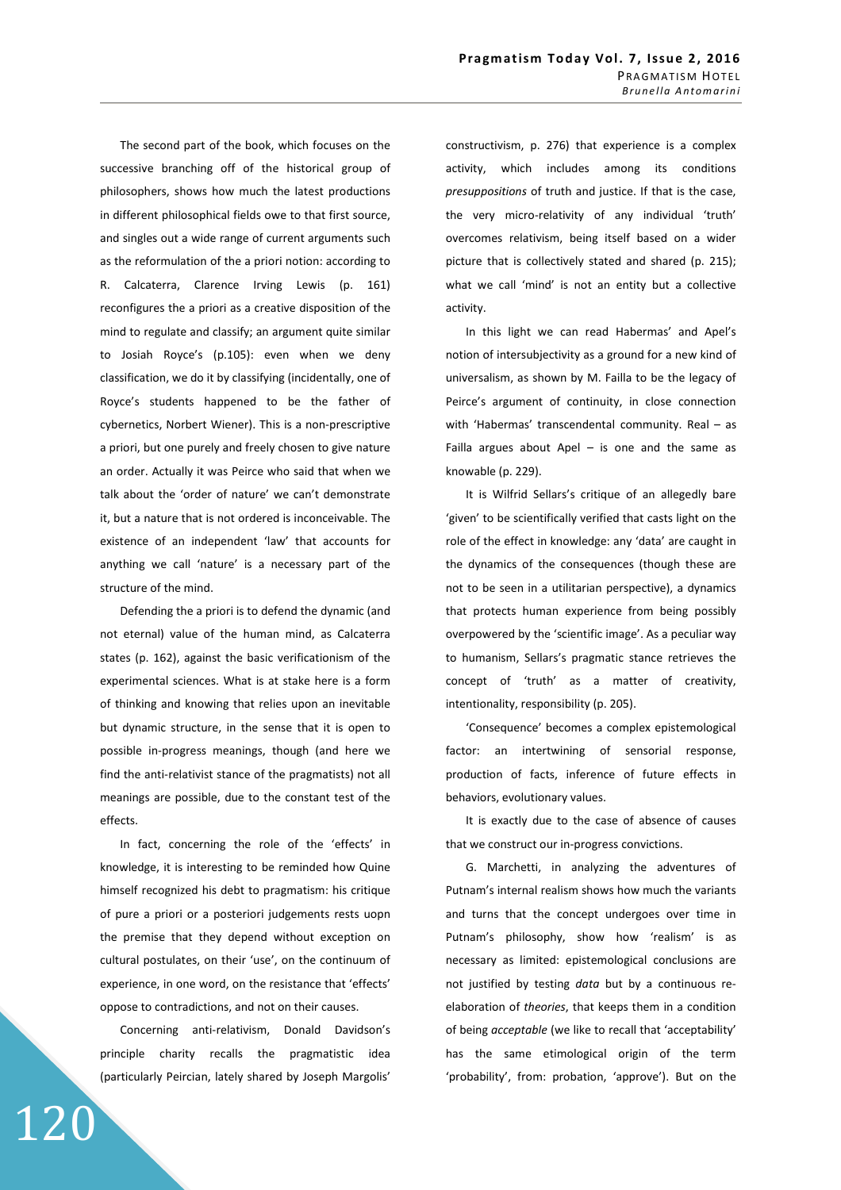The second part of the book, which focuses on the successive branching off of the historical group of philosophers, shows how much the latest productions in different philosophical fields owe to that first source, and singles out a wide range of current arguments such as the reformulation of the a priori notion: according to R. Calcaterra, Clarence Irving Lewis (p. 161) reconfigures the a priori as a creative disposition of the mind to regulate and classify; an argument quite similar to Josiah Royce's (p.105): even when we deny classification, we do it by classifying (incidentally, one of Royce's students happened to be the father of cybernetics, Norbert Wiener). This is a non-prescriptive a priori, but one purely and freely chosen to give nature an order. Actually it was Peirce who said that when we talk about the 'order of nature' we can't demonstrate it, but a nature that is not ordered is inconceivable. The existence of an independent 'law' that accounts for anything we call 'nature' is a necessary part of the structure of the mind.

Defending the a priori is to defend the dynamic (and not eternal) value of the human mind, as Calcaterra states (p. 162), against the basic verificationism of the experimental sciences. What is at stake here is a form of thinking and knowing that relies upon an inevitable but dynamic structure, in the sense that it is open to possible in-progress meanings, though (and here we find the anti-relativist stance of the pragmatists) not all meanings are possible, due to the constant test of the effects.

In fact, concerning the role of the 'effects' in knowledge, it is interesting to be reminded how Quine himself recognized his debt to pragmatism: his critique of pure a priori or a posteriori judgements rests uopn the premise that they depend without exception on cultural postulates, on their 'use', on the continuum of experience, in one word, on the resistance that 'effects' oppose to contradictions, and not on their causes.

Concerning anti-relativism, Donald Davidson's principle charity recalls the pragmatistic idea (particularly Peircian, lately shared by Joseph Margolis'

120

constructivism, p. 276) that experience is a complex activity, which includes among its conditions *presuppositions* of truth and justice. If that is the case, the very micro-relativity of any individual 'truth' overcomes relativism, being itself based on a wider picture that is collectively stated and shared (p. 215); what we call 'mind' is not an entity but a collective activity.

In this light we can read Habermas' and Apel's notion of intersubjectivity as a ground for a new kind of universalism, as shown by M. Failla to be the legacy of Peirce's argument of continuity, in close connection with 'Habermas' transcendental community. Real – as Failla argues about Apel  $-$  is one and the same as knowable (p. 229).

It is Wilfrid Sellars's critique of an allegedly bare 'given' to be scientifically verified that casts light on the role of the effect in knowledge: any 'data' are caught in the dynamics of the consequences (though these are not to be seen in a utilitarian perspective), a dynamics that protects human experience from being possibly overpowered by the 'scientific image'. As a peculiar way to humanism, Sellars's pragmatic stance retrieves the concept of 'truth' as a matter of creativity, intentionality, responsibility (p. 205).

'Consequence' becomes a complex epistemological factor: an intertwining of sensorial response, production of facts, inference of future effects in behaviors, evolutionary values.

It is exactly due to the case of absence of causes that we construct our in-progress convictions.

G. Marchetti, in analyzing the adventures of Putnam's internal realism shows how much the variants and turns that the concept undergoes over time in Putnam's philosophy, show how 'realism' is as necessary as limited: epistemological conclusions are not justified by testing *data* but by a continuous reelaboration of *theories*, that keeps them in a condition of being *acceptable* (we like to recall that 'acceptability' has the same etimological origin of the term 'probability', from: probation, 'approve'). But on the